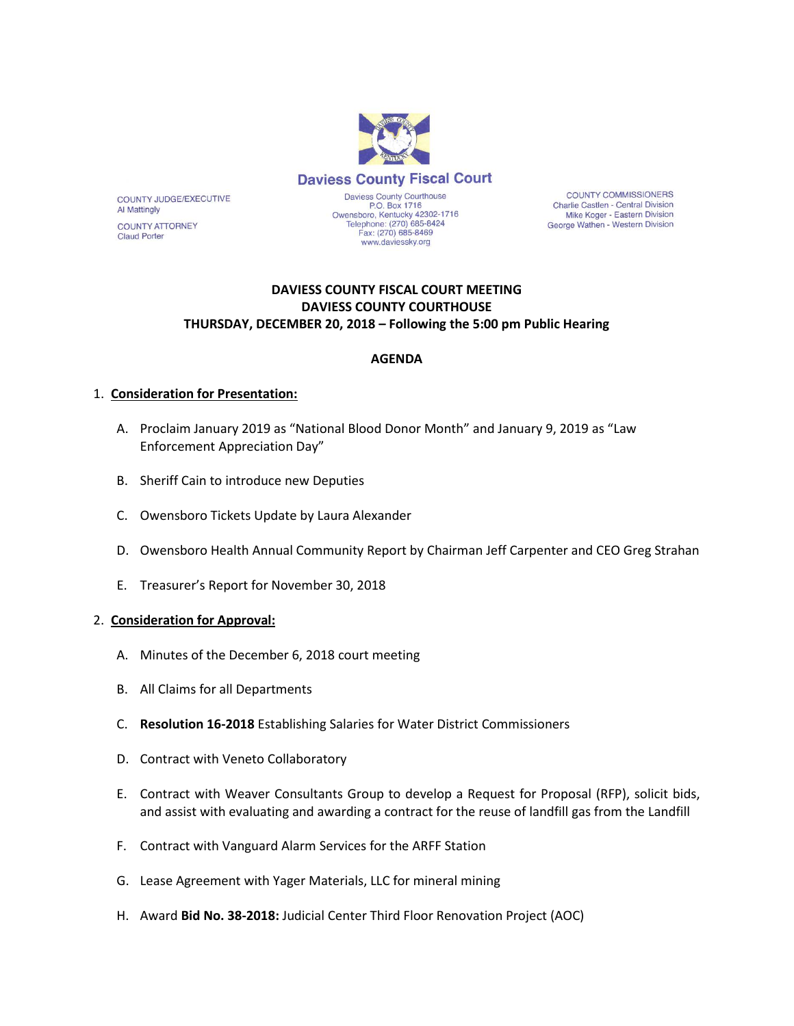

COUNTY JUDGE/EXECUTIVE **Al Mattingly COUNTY ATTORNEY** 

**Claud Porter** 

Owensboro, Kentucky 42302-1716<br>Telephone: (270) 685-8424<br>Fax: (270) 685-8469 www.daviessky.org

**COUNTY COMMISSIONERS** Charlie Castlen - Central Division Mike Koger - Eastern Division George Wathen - Western Division

## **DAVIESS COUNTY FISCAL COURT MEETING DAVIESS COUNTY COURTHOUSE THURSDAY, DECEMBER 20, 2018 – Following the 5:00 pm Public Hearing**

# **AGENDA**

### 1. **Consideration for Presentation:**

- A. Proclaim January 2019 as "National Blood Donor Month" and January 9, 2019 as "Law Enforcement Appreciation Day"
- B. Sheriff Cain to introduce new Deputies
- C. Owensboro Tickets Update by Laura Alexander
- D. Owensboro Health Annual Community Report by Chairman Jeff Carpenter and CEO Greg Strahan
- E. Treasurer's Report for November 30, 2018

### 2. **Consideration for Approval:**

- A. Minutes of the December 6, 2018 court meeting
- B. All Claims for all Departments
- C. **Resolution 16-2018** Establishing Salaries for Water District Commissioners
- D. Contract with Veneto Collaboratory
- E. Contract with Weaver Consultants Group to develop a Request for Proposal (RFP), solicit bids, and assist with evaluating and awarding a contract for the reuse of landfill gas from the Landfill
- F. Contract with Vanguard Alarm Services for the ARFF Station
- G. Lease Agreement with Yager Materials, LLC for mineral mining
- H. Award **Bid No. 38-2018:** Judicial Center Third Floor Renovation Project (AOC)